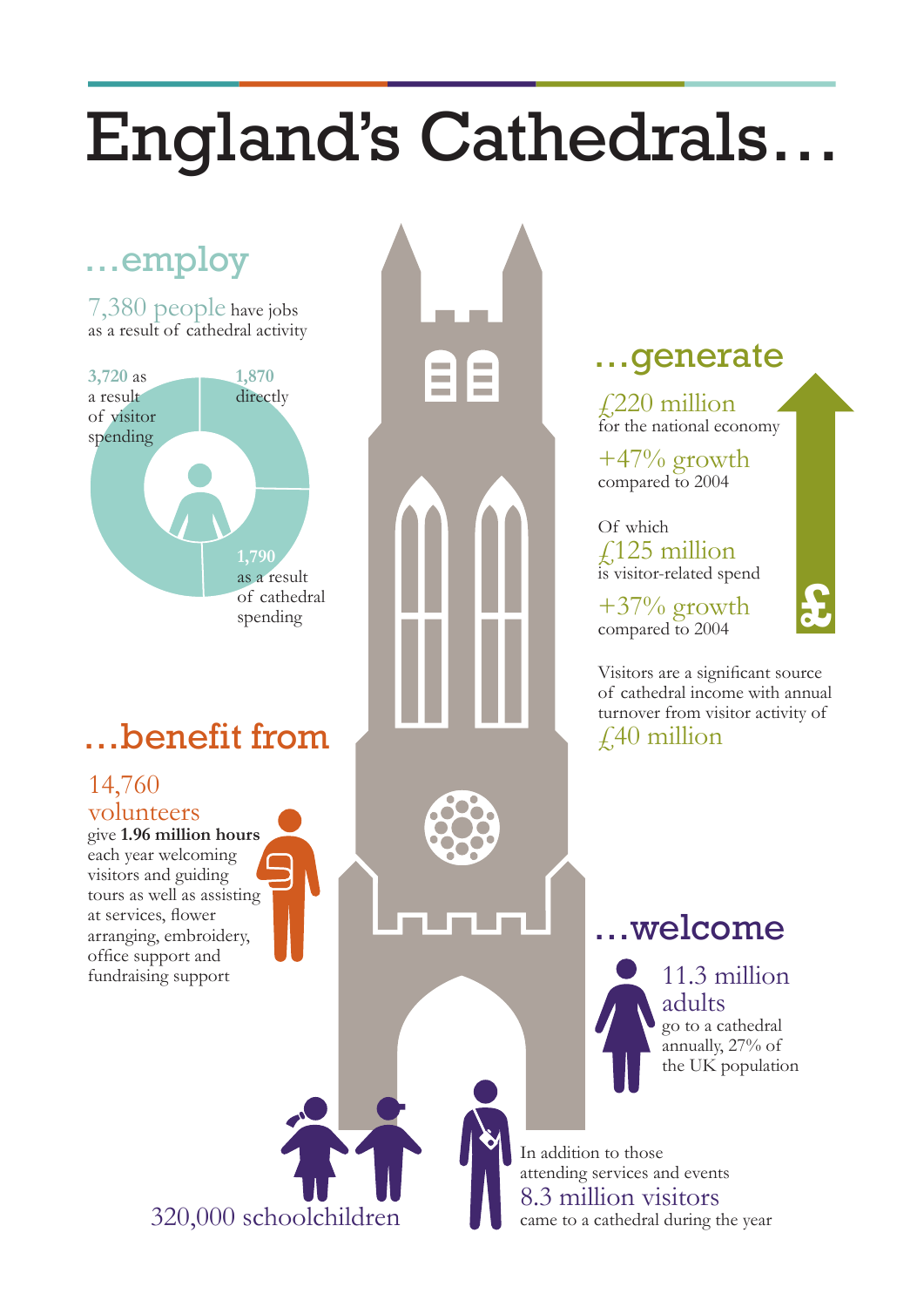## England's Cathedrals…